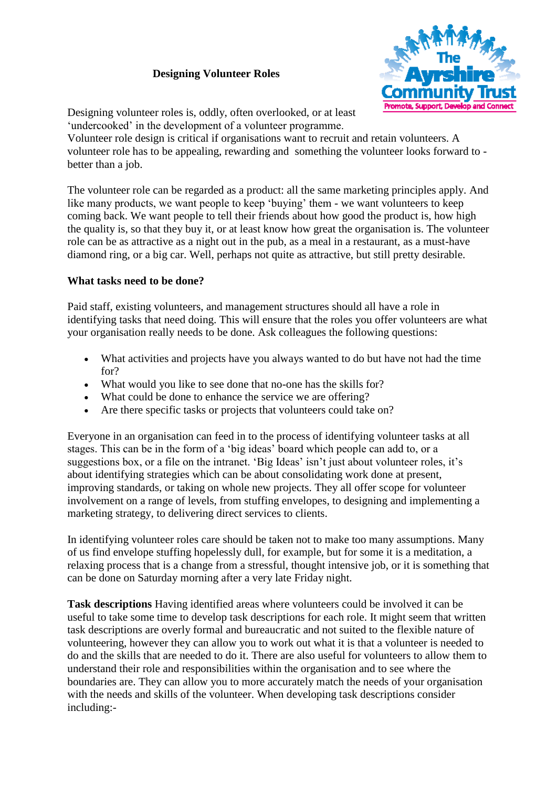## **Designing Volunteer Roles**



Designing volunteer roles is, oddly, often overlooked, or at least 'undercooked' in the development of a volunteer programme.

Volunteer role design is critical if organisations want to recruit and retain volunteers. A volunteer role has to be appealing, rewarding and something the volunteer looks forward to better than a job.

The volunteer role can be regarded as a product: all the same marketing principles apply. And like many products, we want people to keep 'buying' them - we want volunteers to keep coming back. We want people to tell their friends about how good the product is, how high the quality is, so that they buy it, or at least know how great the organisation is. The volunteer role can be as attractive as a night out in the pub, as a meal in a restaurant, as a must-have diamond ring, or a big car. Well, perhaps not quite as attractive, but still pretty desirable.

## **What tasks need to be done?**

Paid staff, existing volunteers, and management structures should all have a role in identifying tasks that need doing. This will ensure that the roles you offer volunteers are what your organisation really needs to be done. Ask colleagues the following questions:

- What activities and projects have you always wanted to do but have not had the time for?
- What would you like to see done that no-one has the skills for?
- What could be done to enhance the service we are offering?
- Are there specific tasks or projects that volunteers could take on?

Everyone in an organisation can feed in to the process of identifying volunteer tasks at all stages. This can be in the form of a 'big ideas' board which people can add to, or a suggestions box, or a file on the intranet. 'Big Ideas' isn't just about volunteer roles, it's about identifying strategies which can be about consolidating work done at present, improving standards, or taking on whole new projects. They all offer scope for volunteer involvement on a range of levels, from stuffing envelopes, to designing and implementing a marketing strategy, to delivering direct services to clients.

In identifying volunteer roles care should be taken not to make too many assumptions. Many of us find envelope stuffing hopelessly dull, for example, but for some it is a meditation, a relaxing process that is a change from a stressful, thought intensive job, or it is something that can be done on Saturday morning after a very late Friday night.

**Task descriptions** Having identified areas where volunteers could be involved it can be useful to take some time to develop task descriptions for each role. It might seem that written task descriptions are overly formal and bureaucratic and not suited to the flexible nature of volunteering, however they can allow you to work out what it is that a volunteer is needed to do and the skills that are needed to do it. There are also useful for volunteers to allow them to understand their role and responsibilities within the organisation and to see where the boundaries are. They can allow you to more accurately match the needs of your organisation with the needs and skills of the volunteer. When developing task descriptions consider including:-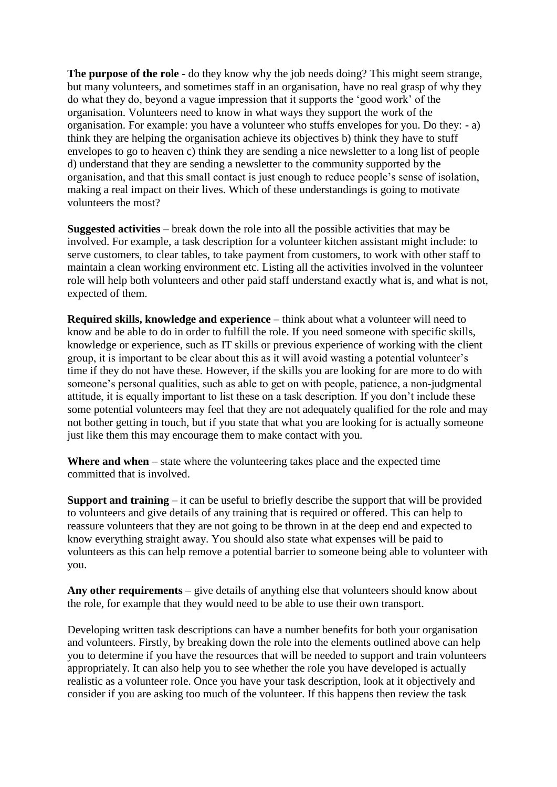**The purpose of the role** - do they know why the job needs doing? This might seem strange, but many volunteers, and sometimes staff in an organisation, have no real grasp of why they do what they do, beyond a vague impression that it supports the 'good work' of the organisation. Volunteers need to know in what ways they support the work of the organisation. For example: you have a volunteer who stuffs envelopes for you. Do they: - a) think they are helping the organisation achieve its objectives b) think they have to stuff envelopes to go to heaven c) think they are sending a nice newsletter to a long list of people d) understand that they are sending a newsletter to the community supported by the organisation, and that this small contact is just enough to reduce people's sense of isolation, making a real impact on their lives. Which of these understandings is going to motivate volunteers the most?

**Suggested activities** – break down the role into all the possible activities that may be involved. For example, a task description for a volunteer kitchen assistant might include: to serve customers, to clear tables, to take payment from customers, to work with other staff to maintain a clean working environment etc. Listing all the activities involved in the volunteer role will help both volunteers and other paid staff understand exactly what is, and what is not, expected of them.

**Required skills, knowledge and experience** – think about what a volunteer will need to know and be able to do in order to fulfill the role. If you need someone with specific skills, knowledge or experience, such as IT skills or previous experience of working with the client group, it is important to be clear about this as it will avoid wasting a potential volunteer's time if they do not have these. However, if the skills you are looking for are more to do with someone's personal qualities, such as able to get on with people, patience, a non-judgmental attitude, it is equally important to list these on a task description. If you don't include these some potential volunteers may feel that they are not adequately qualified for the role and may not bother getting in touch, but if you state that what you are looking for is actually someone just like them this may encourage them to make contact with you.

**Where and when** – state where the volunteering takes place and the expected time committed that is involved.

**Support and training** – it can be useful to briefly describe the support that will be provided to volunteers and give details of any training that is required or offered. This can help to reassure volunteers that they are not going to be thrown in at the deep end and expected to know everything straight away. You should also state what expenses will be paid to volunteers as this can help remove a potential barrier to someone being able to volunteer with you.

**Any other requirements** – give details of anything else that volunteers should know about the role, for example that they would need to be able to use their own transport.

Developing written task descriptions can have a number benefits for both your organisation and volunteers. Firstly, by breaking down the role into the elements outlined above can help you to determine if you have the resources that will be needed to support and train volunteers appropriately. It can also help you to see whether the role you have developed is actually realistic as a volunteer role. Once you have your task description, look at it objectively and consider if you are asking too much of the volunteer. If this happens then review the task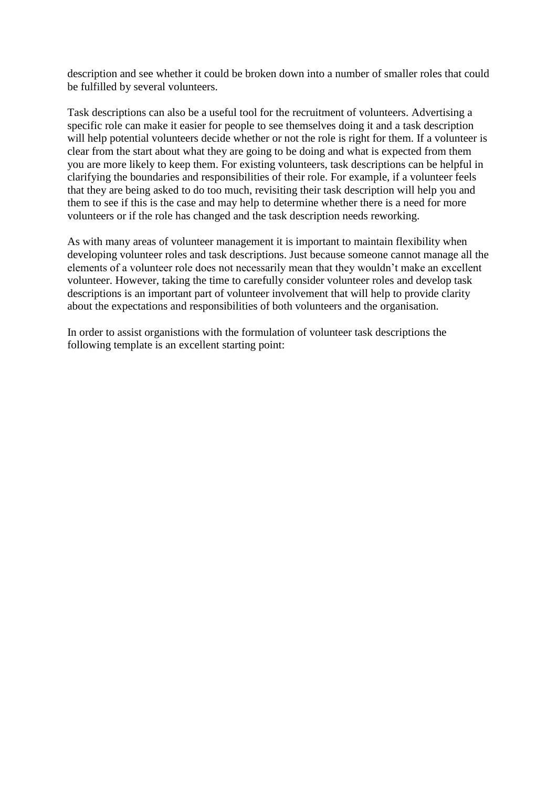description and see whether it could be broken down into a number of smaller roles that could be fulfilled by several volunteers.

Task descriptions can also be a useful tool for the recruitment of volunteers. Advertising a specific role can make it easier for people to see themselves doing it and a task description will help potential volunteers decide whether or not the role is right for them. If a volunteer is clear from the start about what they are going to be doing and what is expected from them you are more likely to keep them. For existing volunteers, task descriptions can be helpful in clarifying the boundaries and responsibilities of their role. For example, if a volunteer feels that they are being asked to do too much, revisiting their task description will help you and them to see if this is the case and may help to determine whether there is a need for more volunteers or if the role has changed and the task description needs reworking.

As with many areas of volunteer management it is important to maintain flexibility when developing volunteer roles and task descriptions. Just because someone cannot manage all the elements of a volunteer role does not necessarily mean that they wouldn't make an excellent volunteer. However, taking the time to carefully consider volunteer roles and develop task descriptions is an important part of volunteer involvement that will help to provide clarity about the expectations and responsibilities of both volunteers and the organisation.

In order to assist organistions with the formulation of volunteer task descriptions the following template is an excellent starting point: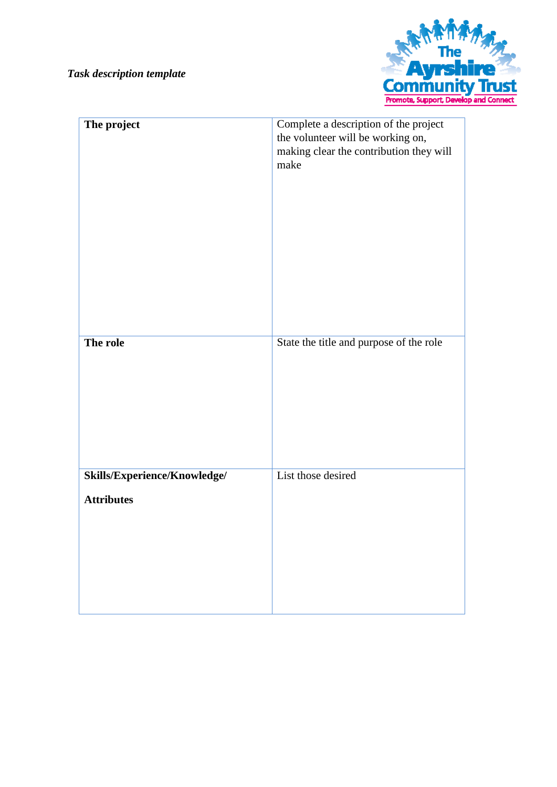

| The project                                       | Complete a description of the project<br>the volunteer will be working on,<br>making clear the contribution they will<br>make |
|---------------------------------------------------|-------------------------------------------------------------------------------------------------------------------------------|
| The role                                          | State the title and purpose of the role                                                                                       |
| Skills/Experience/Knowledge/<br><b>Attributes</b> | List those desired                                                                                                            |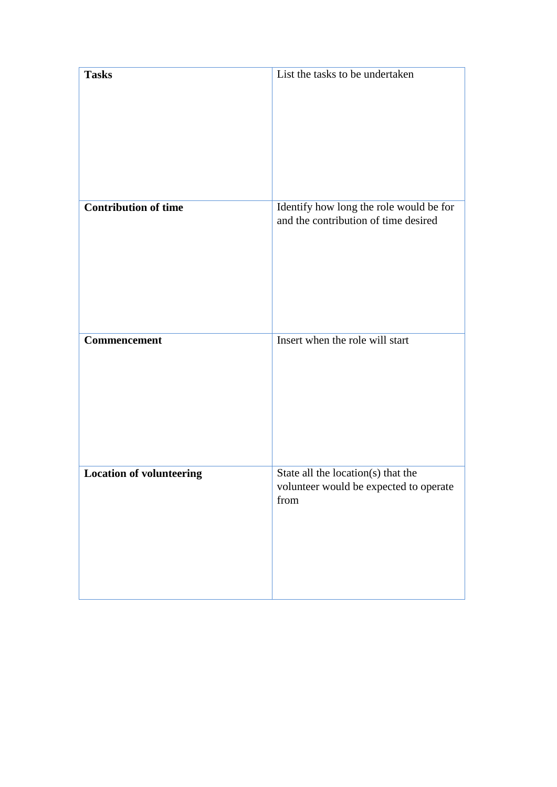| <b>Tasks</b>                    | List the tasks to be undertaken                                                      |
|---------------------------------|--------------------------------------------------------------------------------------|
| <b>Contribution of time</b>     | Identify how long the role would be for<br>and the contribution of time desired      |
| Commencement                    | Insert when the role will start                                                      |
| <b>Location of volunteering</b> | State all the location(s) that the<br>volunteer would be expected to operate<br>from |